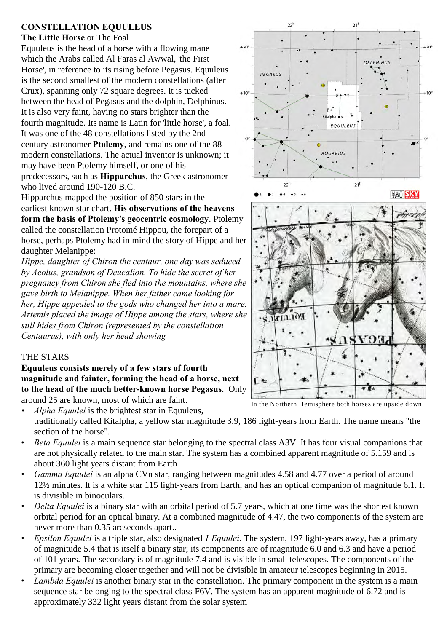# **CONSTELLATION EQUULEUS**

#### **The Little Horse** or The Foal

Equuleus is the head of a horse with a flowing mane which the Arabs called Al Faras al Awwal, 'the First Horse', in reference to its rising before Pegasus. Equuleus is the second smallest of the modern constellations (after Crux), spanning only 72 square degrees. It is tucked between the head of Pegasus and the dolphin, Delphinus. It is also very faint, having no stars brighter than the fourth magnitude. Its name is Latin for 'little horse', a foal. It was one of the 48 constellations listed by the 2nd century astronomer **Ptolemy**, and remains one of the 88 modern constellations. The actual inventor is unknown; it may have been Ptolemy himself, or one of his predecessors, such as **Hipparchus**, the Greek astronomer who lived around 190-120 B.C.

Hipparchus mapped the position of 850 stars in the earliest known star chart. **His observations of the heavens form the basis of Ptolemy's geocentric cosmology**. Ptolemy called the constellation Protomé Hippou, the forepart of a horse, perhaps Ptolemy had in mind the story of Hippe and her daughter Melanippe:

*Hippe, daughter of Chiron the centaur, one day was seduced by Aeolus, grandson of Deucalion. To hide the secret of her pregnancy from Chiron she fled into the mountains, where she gave birth to Melanippe. When her father came looking for her, Hippe appealed to the gods who changed her into a mare. Artemis placed the image of Hippe among the stars, where she still hides from Chiron (represented by the constellation Centaurus), with only her head showing*

# THE STARS

**Equuleus consists merely of a few stars of fourth magnitude and fainter, forming the head of a horse, next to the head of the much better-known horse Pegasus**. Only around 25 are known, most of which are faint.

*• Alpha Equulei* is the brightest star in Equuleus, traditionally called Kitalpha, a yellow star magnitude 3.9, 186 light-years from Earth. The name means "the section of the horse".

- *Beta Equulei* is a main sequence star belonging to the spectral class A3V. It has four visual companions that are not physically related to the main star. The system has a combined apparent magnitude of 5.159 and is about 360 light years distant from Earth
- *Gamma Equulei* is an alpha CVn star, ranging between magnitudes 4.58 and 4.77 over a period of around 12½ minutes. It is a white star 115 light-years from Earth, and has an optical companion of magnitude 6.1. It is divisible in binoculars.
- *Delta Equulei* is a binary star with an orbital period of 5.7 years, which at one time was the shortest known orbital period for an optical binary. At a combined magnitude of 4.47, the two components of the system are never more than 0.35 arcseconds apart..
- *Epsilon Equulei* is a triple star, also designated *1 Equulei*. The system, 197 light-years away, has a primary of magnitude 5.4 that is itself a binary star; its components are of magnitude 6.0 and 6.3 and have a period of 101 years. The secondary is of magnitude 7.4 and is visible in small telescopes. The components of the primary are becoming closer together and will not be divisible in amateur telescopes beginning in 2015.
- *Lambda Equulei* is another binary star in the constellation. The primary component in the system is a main sequence star belonging to the spectral class F6V. The system has an apparent magnitude of 6.72 and is approximately 332 light years distant from the solar system





 $21<sup>1</sup>$ 

 $\overline{\mathbf{z}}$